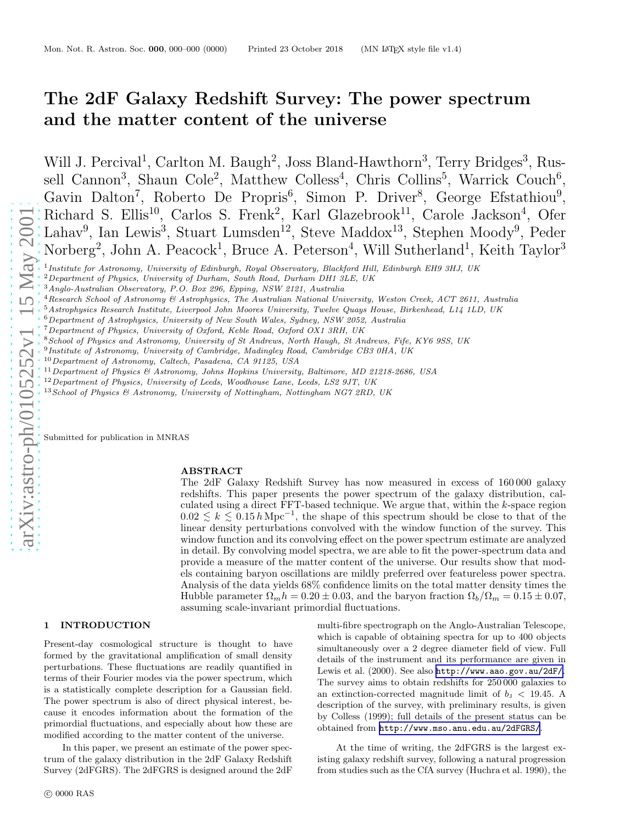# The 2dF Galaxy Redshift Survey: The power spectrum and the matter content of the universe

Will J. Percival<sup>1</sup>, Carlton M. Baugh<sup>2</sup>, Joss Bland-Hawthorn<sup>3</sup>, Terry Bridges<sup>3</sup>, Russell Cannon<sup>3</sup>, Shaun Cole<sup>2</sup>, Matthew Colless<sup>4</sup>, Chris Collins<sup>5</sup>, Warrick Couch<sup>6</sup>, Gavin Dalton<sup>7</sup>, Roberto De Propris<sup>6</sup>, Simon P. Driver<sup>8</sup>, George Efstathiou<sup>9</sup>, Richard S. Ellis<sup>10</sup>, Carlos S. Frenk<sup>2</sup>, Karl Glazebrook<sup>11</sup>, Carole Jackson<sup>4</sup>, Ofer Lahav<sup>9</sup>, Ian Lewis<sup>3</sup>, Stuart Lumsden<sup>12</sup>, Steve Maddox<sup>13</sup>, Stephen Moody<sup>9</sup>, Peder Norberg<sup>2</sup>, John A. Peacock<sup>1</sup>, Bruce A. Peterson<sup>4</sup>, Will Sutherland<sup>1</sup>, Keith Taylor<sup>3</sup>

- <sup>5</sup>Astrophysics Research Institute, Liverpool John Moores University, Twelve Quays House, Birkenhead, L14 1LD, UK
- $6$ Department of Astrophysics, University of New South Wales, Sydney, NSW 2052, Australia
- <sup>7</sup>Department of Physics, University of Oxford, Keble Road, Oxford OX1 3RH, UK
- <sup>8</sup>School of Physics and Astronomy, University of St Andrews, North Haugh, St Andrews, Fife, KY6 9SS, UK

<sup>9</sup> Institute of Astronomy, University of Cambridge, Madingley Road, Cambridge CB3 0HA, UK

- $10$  Department of Astronomy, Caltech, Pasadena, CA 91125, USA
- $^{11}$  Department of Physics & Astronomy, Johns Hopkins University, Baltimore, MD 21218-2686, USA
- $12$  Department of Physics, University of Leeds, Woodhouse Lane, Leeds, LS2 9JT, UK
- <sup>13</sup> School of Physics & Astronomy, University of Nottingham, Nottingham NG7 2RD, UK

Submitted for publication in MNRAS

#### ABSTRACT

The 2dF Galaxy Redshift Survey has now measured in excess of 160 000 galaxy redshifts. This paper presents the power spectrum of the galaxy distribution, calculated using a direct FFT-based technique. We argue that, within the k-space region  $0.02 \leq k \leq 0.15 h \text{ Mpc}^{-1}$ , the shape of this spectrum should be close to that of the linear density perturbations convolved with the window function of the survey. This window function and its convolving effect on the power spectrum estimate are analyzed in detail. By convolving model spectra, we are able to fit the power-spectrum data and provide a measure of the matter content of the universe. Our results show that models containing baryon oscillations are mildly preferred over featureless power spectra. Analysis of the data yields 68% confidence limits on the total matter density times the Hubble parameter  $\Omega_m h = 0.20 \pm 0.03$ , and the baryon fraction  $\Omega_b/\Omega_m = 0.15 \pm 0.07$ , assuming scale-invariant primordial fluctuations.

# 1 INTRODUCTION

Present-day cosmological structure is thought to have formed by the gravitational amplification of small density perturbations. These fluctuations are readily quantified in terms of their Fourier modes via the power spectrum, which is a statistically complete description for a Gaussian field . The power spectrum is also of direct physical interest, because it encodes information about the formation of the primordial fluctuations, and especially about how these are modified according to the matter content of the universe.

In this paper, we present an estimate of the power spectrum of the galaxy distribution in the 2dF Galaxy Redshift Survey (2dFGRS). The 2dFGRS is designed around the 2dF

multi-fibre spectrograph on the Anglo-Australian Telescope, which is capable of obtaining spectra for up to 400 objects simultaneously over a 2 degree diameter field of view. Full details of the instrument and its performance are given in Lewis et al. (2000). See also <http://www.aao.gov.au/2dF/> . The survey aims to obtain redshifts for 250 000 galaxies to an extinction-corrected magnitude limit of  $b<sub>J</sub> < 19.45$ . A description of the survey, with preliminary results, is given by Colless (1999); full details of the present status can be obtained from <http://www.mso.anu.edu.au/2dFGRS/> .

At the time of writing, the 2dFGRS is the largest existing galaxy redshift survey, following a natural progression from studies such as the CfA survey (Huchra et al. 1990), the

<sup>1</sup> Institute for Astronomy, University of Edinburgh, Royal Observatory, Blackford Hill, Edinburgh EH9 3HJ, UK

<sup>2</sup>Department of Physics, University of Durham, South Road, Durham DH1 3LE, UK

<sup>3</sup>Anglo-Australian Observatory, P.O. Box 296, Epping, NSW 2121, Australia

 $4$ Research School of Astronomy  $\mathcal C$  Astrophysics, The Australian National University, Weston Creek, ACT 2611, Australia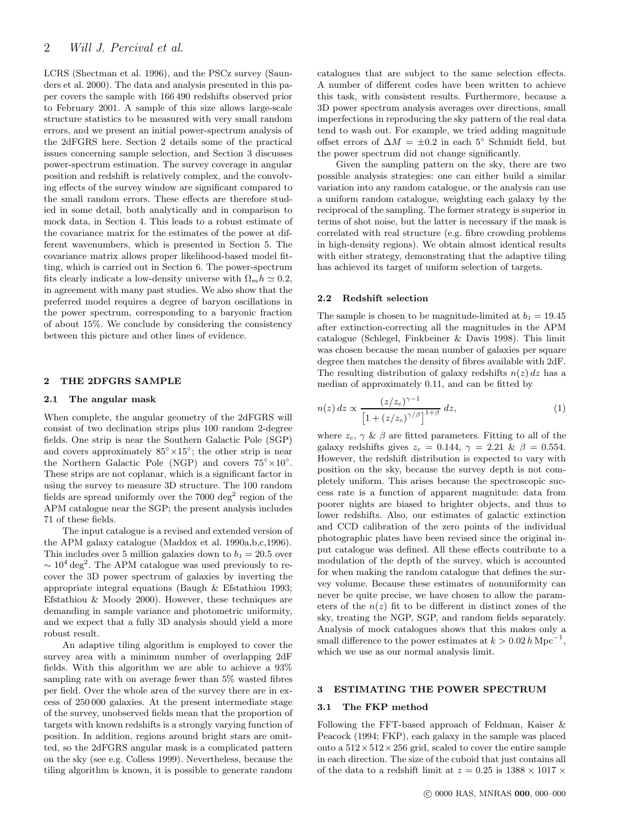<span id="page-1-0"></span>LCRS (Shectman et al. 1996), and the PSCz survey (Saunders et al. 2000). The data and analysis presented in this paper covers the sample with 166 490 redshifts observed prior to February 2001. A sample of this size allows large-scale structure statistics to be measured with very small random errors, and we present an initial power-spectrum analysis of the 2dFGRS here. Section 2 details some of the practical issues concerning sample selection, and Section 3 discusses power-spectrum estimation. The survey coverage in angular position and redshift is relatively complex, and the convolving effects of the survey window are significant compared to the small random errors. These effects are therefore studied in some detail, both analytically and in comparison to mock data, in Section 4. This leads to a robust estimate of the covariance matrix for the estimates of the power at different wavenumbers, which is presented in Section 5. The covariance matrix allows proper likelihood-based model fitting, which is carried out in Section 6. The power-spectrum fits clearly indicate a low-density universe with  $\Omega_m h \simeq 0.2$ , in agreement with many past studies. We also show that the preferred model requires a degree of baryon oscillations in the power spectrum, corresponding to a baryonic fraction of about 15%. We conclude by considering the consistency between this picture and other lines of evidence.

#### 2 THE 2DFGRS SAMPLE

#### 2.1 The angular mask

When complete, the angular geometry of the 2dFGRS will consist of two declination strips plus 100 random 2-degree fields. One strip is near the Southern Galactic Pole (SGP) and covers approximately  $85^{\circ} \times 15^{\circ}$ ; the other strip is near the Northern Galactic Pole (NGP) and covers  $75^{\circ} \times 10^{\circ}$ . These strips are not coplanar, which is a significant factor in using the survey to measure 3D structure. The 100 random fields are spread uniformly over the 7000 deg<sup>2</sup> region of the APM catalogue near the SGP; the present analysis includes 71 of these fields.

The input catalogue is a revised and extended version of the APM galaxy catalogue (Maddox et al. 1990a,b,c,1996). This includes over 5 million galaxies down to  $b<sub>J</sub> = 20.5$  over  $\sim 10^4 \text{ deg}^2$ . The APM catalogue was used previously to recover the 3D power spectrum of galaxies by inverting the appropriate integral equations (Baugh & Efstathiou 1993; Efstathiou & Moody 2000). However, these techniques are demanding in sample variance and photometric uniformity, and we expect that a fully 3D analysis should yield a more robust result.

An adaptive tiling algorithm is employed to cover the survey area with a minimum number of overlapping 2dF fields. With this algorithm we are able to achieve a 93% sampling rate with on average fewer than 5% wasted fibres per field. Over the whole area of the survey there are in excess of 250 000 galaxies. At the present intermediate stage of the survey, unobserved fields mean that the proportion of targets with known redshifts is a strongly varying function of position. In addition, regions around bright stars are omitted, so the 2dFGRS angular mask is a complicated pattern on the sky (see e.g. Colless 1999). Nevertheless, because the tiling algorithm is known, it is possible to generate random catalogues that are subject to the same selection effects. A number of different codes have been written to achieve this task, with consistent results. Furthermore, because a 3D power spectrum analysis averages over directions, small imperfections in reproducing the sky pattern of the real data tend to wash out. For example, we tried adding magnitude offset errors of  $\Delta M = \pm 0.2$  in each 5° Schmidt field, but the power spectrum did not change significantly.

Given the sampling pattern on the sky, there are two possible analysis strategies: one can either build a similar variation into any random catalogue, or the analysis can use a uniform random catalogue, weighting each galaxy by the reciprocal of the sampling. The former strategy is superior in terms of shot noise, but the latter is necessary if the mask is correlated with real structure (e.g. fibre crowding problems in high-density regions). We obtain almost identical results with either strategy, demonstrating that the adaptive tiling has achieved its target of uniform selection of targets.

#### 2.2 Redshift selection

The sample is chosen to be magnitude-limited at  $b<sub>J</sub> = 19.45$ after extinction-correcting all the magnitudes in the APM catalogue (Schlegel, Finkbeiner & Davis 1998). This limit was chosen because the mean number of galaxies per square degree then matches the density of fibres available with 2dF. The resulting distribution of galaxy redshifts  $n(z) dz$  has a median of approximately 0.11, and can be fitted by

$$
n(z) dz \propto \frac{(z/z_c)^{\gamma - 1}}{\left[1 + (z/z_c)^{\gamma/\beta}\right]^{1 + \beta}} dz,
$$
\n(1)

where  $z_c$ ,  $\gamma$  &  $\beta$  are fitted parameters. Fitting to all of the galaxy redshifts gives  $z_c = 0.144$ ,  $\gamma = 2.21$  &  $\beta = 0.554$ . However, the redshift distribution is expected to vary with position on the sky, because the survey depth is not completely uniform. This arises because the spectroscopic success rate is a function of apparent magnitude: data from poorer nights are biased to brighter objects, and thus to lower redshifts. Also, our estimates of galactic extinction and CCD calibration of the zero points of the individual photographic plates have been revised since the original input catalogue was defined. All these effects contribute to a modulation of the depth of the survey, which is accounted for when making the random catalogue that defines the survey volume. Because these estimates of nonuniformity can never be quite precise, we have chosen to allow the parameters of the  $n(z)$  fit to be different in distinct zones of the sky, treating the NGP, SGP, and random fields separately. Analysis of mock catalogues shows that this makes only a small difference to the power estimates at  $k > 0.02 h \text{ Mpc}^{-1}$ , which we use as our normal analysis limit.

# 3 ESTIMATING THE POWER SPECTRUM

# 3.1 The FKP method

Following the FFT-based approach of Feldman, Kaiser & Peacock (1994; FKP), each galaxy in the sample was placed onto a  $512 \times 512 \times 256$  grid, scaled to cover the entire sample in each direction. The size of the cuboid that just contains all of the data to a redshift limit at  $z = 0.25$  is  $1388 \times 1017 \times$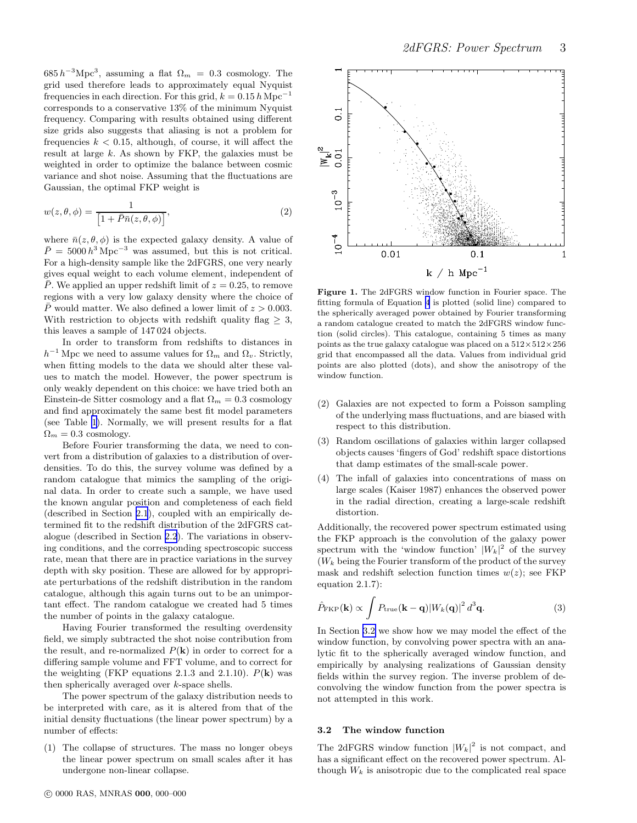<span id="page-2-0"></span> $685 h^{-3} \text{Mpc}^3$ , assuming a flat  $\Omega_m = 0.3$  cosmology. The grid used therefore leads to approximately equal Nyquist frequencies in each direction. For this grid,  $k = 0.15 h \text{ Mpc}^{-1}$ corresponds to a conservative 13% of the minimum Nyquist frequency. Comparing with results obtained using different size grids also suggests that aliasing is not a problem for frequencies  $k < 0.15$ , although, of course, it will affect the result at large k. As shown by FKP, the galaxies must be weighted in order to optimize the balance between cosmic variance and shot noise. Assuming that the fluctuations are Gaussian, the optimal FKP weight is

$$
w(z, \theta, \phi) = \frac{1}{\left[1 + \bar{P}\bar{n}(z, \theta, \phi)\right]},
$$
\n(2)

where  $\bar{n}(z, \theta, \phi)$  is the expected galaxy density. A value of  $\bar{P} = 5000 h^3 \,\text{Mpc}^{-3}$  was assumed, but this is not critical. For a high-density sample like the 2dFGRS, one very nearly gives equal weight to each volume element, independent of  $\overline{P}$ . We applied an upper redshift limit of  $z = 0.25$ , to remove regions with a very low galaxy density where the choice of  $\overline{P}$  would matter. We also defined a lower limit of  $z > 0.003$ . With restriction to objects with redshift quality flag  $\geq 3$ , this leaves a sample of 147 024 objects.

In order to transform from redshifts to distances in  $h^{-1}$  Mpc we need to assume values for  $\Omega_m$  and  $\Omega_v$ . Strictly, when fitting models to the data we should alter these values to match the model. However, the power spectrum is only weakly dependent on this choice: we have tried both an Einstein-de Sitter cosmology and a flat  $\Omega_m = 0.3$  cosmology and find approximately the same best fit model parameters (see Table [1\)](#page-7-0). Normally, we will present results for a flat  $\Omega_m = 0.3$  cosmology.

Before Fourier transforming the data, we need to convert from a distribution of galaxies to a distribution of overdensities. To do this, the survey volume was defined by a random catalogue that mimics the sampling of the original data. In order to create such a sample, we have used the known angular position and completeness of each field (described in Section [2.1](#page-1-0)), coupled with an empirically determined fit to the redshift distribution of the 2dFGRS catalogue (described in Section [2.2](#page-1-0)). The variations in observing conditions, and the corresponding spectroscopic success rate, mean that there are in practice variations in the survey depth with sky position. These are allowed for by appropriate perturbations of the redshift distribution in the random catalogue, although this again turns out to be an unimportant effect. The random catalogue we created had 5 times the number of points in the galaxy catalogue.

Having Fourier transformed the resulting overdensity field, we simply subtracted the shot noise contribution from the result, and re-normalized  $P(\mathbf{k})$  in order to correct for a differing sample volume and FFT volume, and to correct for the weighting (FKP equations 2.1.3 and 2.1.10).  $P(\mathbf{k})$  was then spherically averaged over k-space shells.

The power spectrum of the galaxy distribution needs to be interpreted with care, as it is altered from that of the initial density fluctuations (the linear power spectrum) by a number of effects:

(1) The collapse of structures. The mass no longer obeys the linear power spectrum on small scales after it has undergone non-linear collapse.



Figure 1. The 2dFGRS window function in Fourier space. The fitting formula of Equation [4](#page-3-0) is plotted (solid line) compared to the spherically averaged power obtained by Fourier transforming a random catalogue created to match the 2dFGRS window function (solid circles). This catalogue, containing 5 times as many points as the true galaxy catalogue was placed on a  $512\times512\times256$ grid that encompassed all the data. Values from individual grid points are also plotted (dots), and show the anisotropy of the window function.

- (2) Galaxies are not expected to form a Poisson sampling of the underlying mass fluctuations, and are biased with respect to this distribution.
- (3) Random oscillations of galaxies within larger collapsed objects causes 'fingers of God' redshift space distortions that damp estimates of the small-scale power.
- (4) The infall of galaxies into concentrations of mass on large scales (Kaiser 1987) enhances the observed power in the radial direction, creating a large-scale redshift distortion.

Additionally, the recovered power spectrum estimated using the FKP approach is the convolution of the galaxy power spectrum with the 'window function'  $|W_k|^2$  of the survey  $(W_k)$  being the Fourier transform of the product of the survey mask and redshift selection function times  $w(z)$ ; see FKP equation 2.1.7):

$$
\hat{P}_{\rm FKP}(\mathbf{k}) \propto \int P_{\rm true}(\mathbf{k} - \mathbf{q}) |W_k(\mathbf{q})|^2 d^3 \mathbf{q}.
$$
 (3)

In Section 3.2 we show how we may model the effect of the window function, by convolving power spectra with an analytic fit to the spherically averaged window function, and empirically by analysing realizations of Gaussian density fields within the survey region. The inverse problem of deconvolving the window function from the power spectra is not attempted in this work.

# 3.2 The window function

The 2dFGRS window function  $|W_k|^2$  is not compact, and has a significant effect on the recovered power spectrum. Although  $W_k$  is anisotropic due to the complicated real space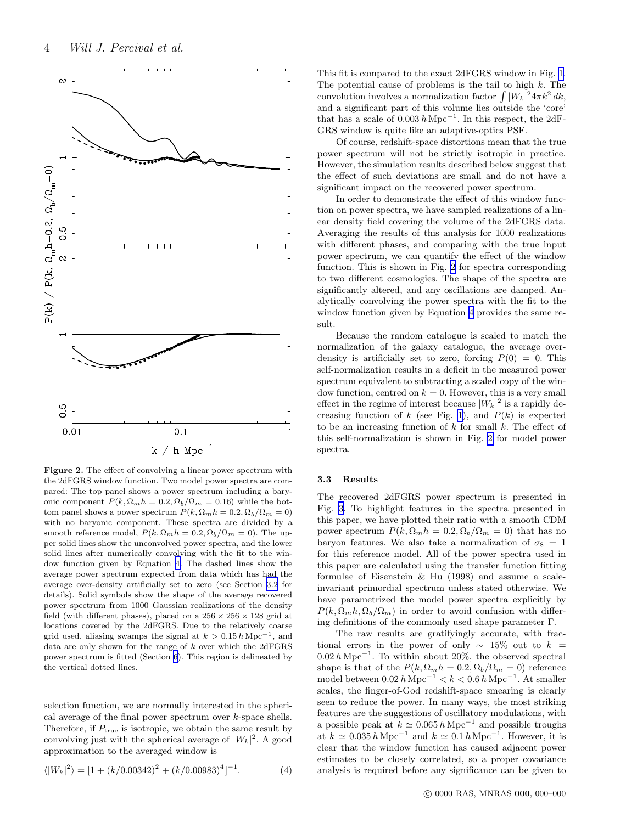<span id="page-3-0"></span>

Figure 2. The effect of convolving a linear power spectrum with the 2dFGRS window function. Two model power spectra are compared: The top panel shows a power spectrum including a baryonic component  $P(k, \Omega_m h = 0.2, \Omega_b/\Omega_m = 0.16)$  while the bottom panel shows a power spectrum  $P(k, \Omega_m h = 0.2, \Omega_b / \Omega_m = 0)$ with no baryonic component. These spectra are divided by a smooth reference model,  $P(k, \Omega_m h = 0.2, \Omega_b / \Omega_m = 0)$ . The upper solid lines show the unconvolved power spectra, and the lower solid lines after numerically convolving with the fit to the window function given by Equation 4. The dashed lines show the average power spectrum expected from data which has had the average over-density artificially set to zero (see Section [3.2](#page-2-0) for details). Solid symbols show the shape of the average recovered power spectrum from 1000 Gaussian realizations of the density field (with different phases), placed on a  $256\times256\times128$  grid at locations covered by the 2dFGRS. Due to the relatively coarse grid used, aliasing swamps the signal at  $k > 0.15 h \text{ Mpc}^{-1}$ , and data are only shown for the range of k over which the 2dFGRS power spectrum is fitted (Section [6\)](#page-6-0). This region is delineated by the vertical dotted lines.

selection function, we are normally interested in the spherical average of the final power spectrum over  $k$ -space shells. Therefore, if  $P_{true}$  is isotropic, we obtain the same result by convolving just with the spherical average of  $|W_k|^2$ . A good approximation to the averaged window is

$$
\langle |W_k|^2 \rangle = [1 + (k/0.00342)^2 + (k/0.00983)^4]^{-1}.
$$
 (4)

This fit is compared to the exact 2dFGRS window in Fig. [1.](#page-2-0) The potential cause of problems is the tail to high  $k$ . The convolution involves a normalization factor  $\int |W_k|^2 4\pi k^2 dk$ , and a significant part of this volume lies outside the 'core' that has a scale of  $0.003 h\,\mathrm{Mpc}^{-1}$ . In this respect, the 2dF-GRS window is quite like an adaptive-optics PSF.

Of course, redshift-space distortions mean that the true power spectrum will not be strictly isotropic in practice. However, the simulation results described below suggest that the effect of such deviations are small and do not have a significant impact on the recovered power spectrum.

In order to demonstrate the effect of this window function on power spectra, we have sampled realizations of a linear density field covering the volume of the 2dFGRS data. Averaging the results of this analysis for 1000 realizations with different phases, and comparing with the true input power spectrum, we can quantify the effect of the window function. This is shown in Fig. 2 for spectra corresponding to two different cosmologies. The shape of the spectra are significantly altered, and any oscillations are damped. Analytically convolving the power spectra with the fit to the window function given by Equation 4 provides the same result.

Because the random catalogue is scaled to match the normalization of the galaxy catalogue, the average overdensity is artificially set to zero, forcing  $P(0) = 0$ . This self-normalization results in a deficit in the measured power spectrum equivalent to subtracting a scaled copy of the window function, centred on  $k = 0$ . However, this is a very small effect in the regime of interest because  $|W_k|^2$  is a rapidly de-creasing function of k (see Fig. [1\)](#page-2-0), and  $P(k)$  is expected to be an increasing function of  $k$  for small  $k$ . The effect of this self-normalization is shown in Fig. 2 for model power spectra.

#### 3.3 Results

The recovered 2dFGRS power spectrum is presented in Fig. [3](#page-4-0). To highlight features in the spectra presented in this paper, we have plotted their ratio with a smooth CDM power spectrum  $P(k, \Omega_m h = 0.2, \Omega_b / \Omega_m = 0)$  that has no baryon features. We also take a normalization of  $\sigma_8 = 1$ for this reference model. All of the power spectra used in this paper are calculated using the transfer function fitting formulae of Eisenstein & Hu (1998) and assume a scaleinvariant primordial spectrum unless stated otherwise. We have parametrized the model power spectra explicitly by  $P(k, \Omega_m h, \Omega_b / \Omega_m)$  in order to avoid confusion with differing definitions of the commonly used shape parameter  $\Gamma$ .

The raw results are gratifyingly accurate, with fractional errors in the power of only  $\sim$  15% out to  $k =$  $0.02 h\mathrm{Mpc}^{-1}$ . To within about 20%, the observed spectral shape is that of the  $P(k, \Omega_m h = 0.2, \Omega_b / \Omega_m = 0)$  reference model between  $0.02 h$  Mpc<sup>-1</sup> < k <  $0.6 h$  Mpc<sup>-1</sup>. At smaller scales, the finger-of-God redshift-space smearing is clearly seen to reduce the power. In many ways, the most striking features are the suggestions of oscillatory modulations, with a possible peak at  $k \simeq 0.065 \, h \, \text{Mpc}^{-1}$  and possible troughs at  $k \approx 0.035 h \text{ Mpc}^{-1}$  and  $k \approx 0.1 h \text{ Mpc}^{-1}$ . However, it is clear that the window function has caused adjacent power estimates to be closely correlated, so a proper covariance analysis is required before any significance can be given to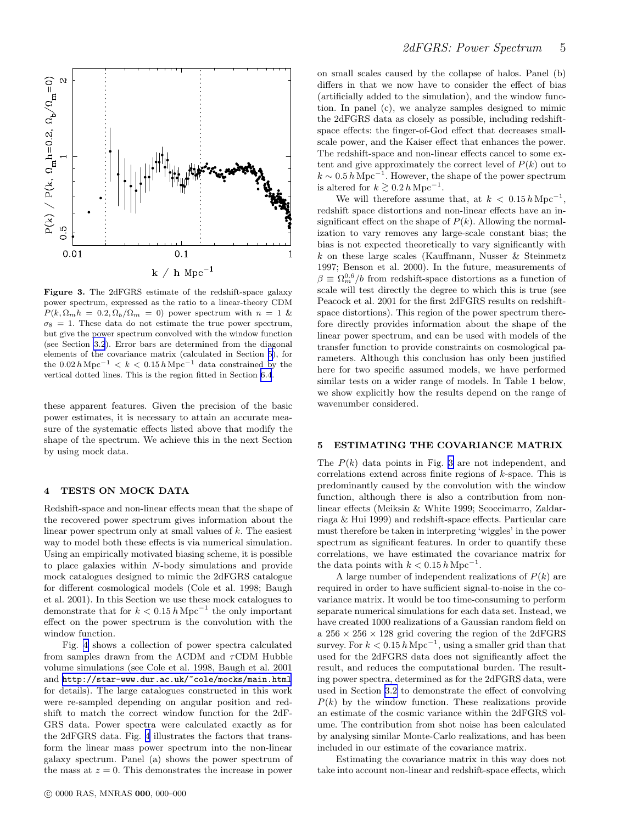<span id="page-4-0"></span>![](_page_4_Figure_0.jpeg)

Figure 3. The 2dFGRS estimate of the redshift-space galaxy power spectrum, expressed as the ratio to a linear-theory CDM  $P(k, \Omega_m h = 0.2, \Omega_b/\Omega_m = 0)$  power spectrum with  $n = 1$  &  $\sigma_8 = 1$ . These data do not estimate the true power spectrum, but give the power spectrum convolved with the window function (see Section [3.2](#page-2-0)). Error bars are determined from the diagonal elements of the covariance matrix (calculated in Section 5), for the  $0.02 h\,\mathrm{Mpc}^{-1} < k < 0.15 h\,\mathrm{Mpc}^{-1}$  data constrained by the vertical dotted lines. This is the region fitted in Section [6.4](#page-8-0).

these apparent features. Given the precision of the basic power estimates, it is necessary to attain an accurate measure of the systematic effects listed above that modify the shape of the spectrum. We achieve this in the next Section by using mock data.

# 4 TESTS ON MOCK DATA

Redshift-space and non-linear effects mean that the shape of the recovered power spectrum gives information about the linear power spectrum only at small values of k. The easiest way to model both these effects is via numerical simulation. Using an empirically motivated biasing scheme, it is possible to place galaxies within N-body simulations and provide mock catalogues designed to mimic the 2dFGRS catalogue for different cosmological models (Cole et al. 1998; Baugh et al. 2001). In this Section we use these mock catalogues to demonstrate that for  $k < 0.15 h Mpc^{-1}$  the only important effect on the power spectrum is the convolution with the window function.

Fig. [4](#page-5-0) shows a collection of power spectra calculated from samples drawn from the  $\Lambda$ CDM and  $\tau$ CDM Hubble volume simulations (see Cole et al. 1998, Baugh et al. 2001 and [http://star-www.dur.ac.uk/~cole/mocks/main.html](http://star-www.dur.ac.uk/\protect \protect \protect \edef OT1{OT1}\let \enc@update \relax \protect \edef cmtt{cmr}\protect \edef m{m}\protect \edef n{n}\protect \xdef \OT1/cmtt/m/n/9 {\OT1/cmtt/m/n/9 }\OT1/cmtt/m/n/9 \size@update \enc@update \ignorespaces \relax \protect \protect \edef cmtt{cmtt}\protect \xdef \OT1/cmtt/m/n/9 {\OT1/cmtt/m/n/9 }\OT1/cmtt/m/n/9 \size@update \enc@update \mathgroup \symtypewriter ~cole/mocks/main.html) for details). The large catalogues constructed in this work were re-sampled depending on angular position and redshift to match the correct window function for the 2dF-GRS data. Power spectra were calculated exactly as for the 2dFGRS data. Fig. [4](#page-5-0) illustrates the factors that transform the linear mass power spectrum into the non-linear galaxy spectrum. Panel (a) shows the power spectrum of the mass at  $z = 0$ . This demonstrates the increase in power on small scales caused by the collapse of halos. Panel (b) differs in that we now have to consider the effect of bias (artificially added to the simulation), and the window function. In panel (c), we analyze samples designed to mimic the 2dFGRS data as closely as possible, including redshiftspace effects: the finger-of-God effect that decreases smallscale power, and the Kaiser effect that enhances the power. The redshift-space and non-linear effects cancel to some extent and give approximately the correct level of  $P(k)$  out to  $k \sim 0.5 h \text{ Mpc}^{-1}$ . However, the shape of the power spectrum is altered for  $k \geq 0.2 h \, \text{Mpc}^{-1}$ .

We will therefore assume that, at  $k < 0.15 h \,\mathrm{Mpc}^{-1}$ , redshift space distortions and non-linear effects have an insignificant effect on the shape of  $P(k)$ . Allowing the normalization to vary removes any large-scale constant bias; the bias is not expected theoretically to vary significantly with  $k$  on these large scales (Kauffmann, Nusser  $\&$  Steinmetz 1997; Benson et al. 2000). In the future, measurements of  $\beta \equiv \Omega_m^{0.6}/b$  from redshift-space distortions as a function of scale will test directly the degree to which this is true (see Peacock et al. 2001 for the first 2dFGRS results on redshiftspace distortions). This region of the power spectrum therefore directly provides information about the shape of the linear power spectrum, and can be used with models of the transfer function to provide constraints on cosmological parameters. Although this conclusion has only been justified here for two specific assumed models, we have performed similar tests on a wider range of models. In Table 1 below, we show explicitly how the results depend on the range of wavenumber considered.

# 5 ESTIMATING THE COVARIANCE MATRIX

The  $P(k)$  data points in Fig. 3 are not independent, and correlations extend across finite regions of k-space. This is predominantly caused by the convolution with the window function, although there is also a contribution from nonlinear effects (Meiksin & White 1999; Scoccimarro, Zaldarriaga & Hui 1999) and redshift-space effects. Particular care must therefore be taken in interpreting 'wiggles' in the power spectrum as significant features. In order to quantify these correlations, we have estimated the covariance matrix for the data points with  $k < 0.15 h \,\mathrm{Mpc}^{-1}$ .

A large number of independent realizations of  $P(k)$  are required in order to have sufficient signal-to-noise in the covariance matrix. It would be too time-consuming to perform separate numerical simulations for each data set. Instead, we have created 1000 realizations of a Gaussian random field on a  $256 \times 256 \times 128$  grid covering the region of the 2dFGRS survey. For  $k < 0.15 h \,\mathrm{Mpc}^{-1}$ , using a smaller grid than that used for the 2dFGRS data does not significantly affect the result, and reduces the computational burden. The resulting power spectra, determined as for the 2dFGRS data, were used in Section [3.2](#page-2-0) to demonstrate the effect of convolving  $P(k)$  by the window function. These realizations provide an estimate of the cosmic variance within the 2dFGRS volume. The contribution from shot noise has been calculated by analysing similar Monte-Carlo realizations, and has been included in our estimate of the covariance matrix.

Estimating the covariance matrix in this way does not take into account non-linear and redshift-space effects, which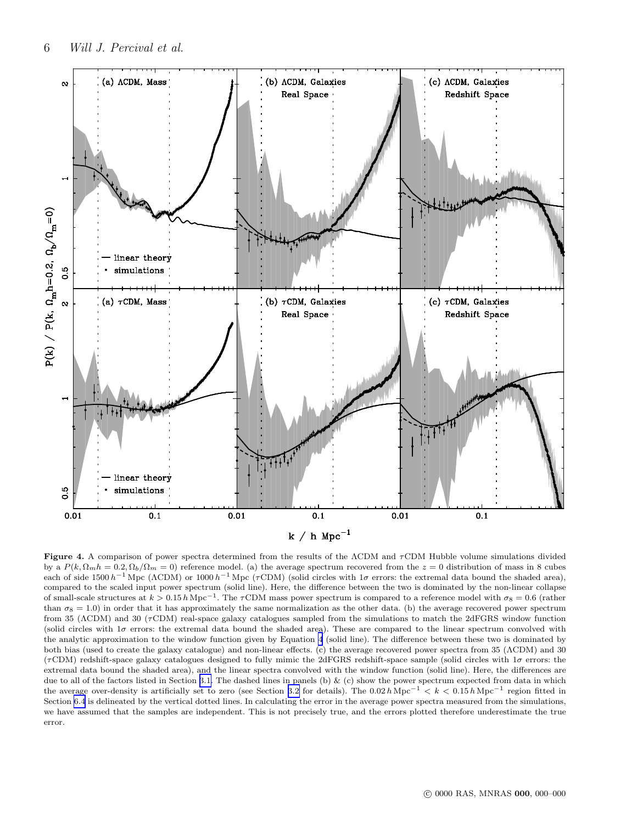<span id="page-5-0"></span>![](_page_5_Figure_1.jpeg)

Figure 4. A comparison of power spectra determined from the results of the ΛCDM and τCDM Hubble volume simulations divided by a  $P(k, \Omega_m h = 0.2, \Omega_b/\Omega_m = 0)$  reference model. (a) the average spectrum recovered from the  $z = 0$  distribution of mass in 8 cubes each of side 1500  $h^{-1}$  Mpc ( $\Lambda$ CDM) or 1000  $h^{-1}$  Mpc ( $\tau$ CDM) (solid circles with 1 $\sigma$  errors: the extremal data bound the shaded area), compared to the scaled input power spectrum (solid line). Here, the difference between the two is dominated by the non-linear collapse of small-scale structures at  $k > 0.15 h \text{ Mpc}^{-1}$ . The  $\tau \text{CDM}$  mass power spectrum is compared to a reference model with  $\sigma_8 = 0.6$  (rather than  $\sigma_8 = 1.0$ ) in order that it has approximately the same normalization as the other data. (b) the average recovered power spectrum from 35 (ΛCDM) and 30 (τCDM) real-space galaxy catalogues sampled from the simulations to match the 2dFGRS window function (solid circles with  $1\sigma$  errors: the extremal data bound the shaded area). These are compared to the linear spectrum convolved with the analytic approximation to the window function given by Equation [4](#page-3-0) (solid line). The difference between these two is dominated by both bias (used to create the galaxy catalogue) and non-linear effects. (c) the average recovered power spectra from 35 (ΛCDM) and 30 ( $\tau$ CDM) redshift-space galaxy catalogues designed to fully mimic the 2dFGRS redshift-space sample (solid circles with  $1\sigma$  errors: the extremal data bound the shaded area), and the linear spectra convolved with the window function (solid line). Here, the differences are due to all of the factors listed in Section [3.1.](#page-1-0) The dashed lines in panels (b) & (c) show the power spectrum expected from data in which the average over-density is artificially set to zero (see Section [3.2](#page-2-0) for details). The  $0.02 h\text{ Mpc}^{-1} < k < 0.15 h\text{ Mpc}^{-1}$  region fitted in Section [6.4](#page-8-0) is delineated by the vertical dotted lines. In calculating the error in the average power spectra measured from the simulations, we have assumed that the samples are independent. This is not precisely true, and the errors plotted therefore underestimate the true error.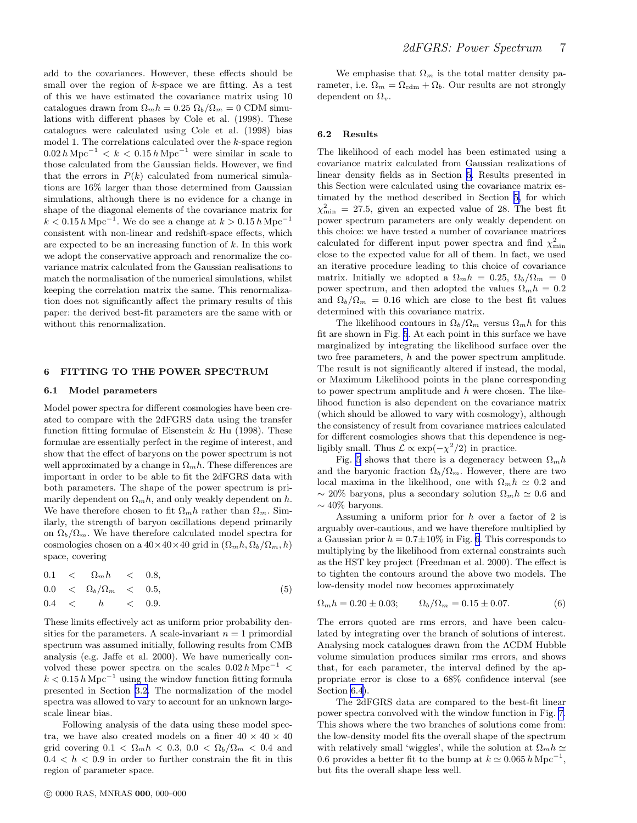<span id="page-6-0"></span>add to the covariances. However, these effects should be small over the region of  $k$ -space we are fitting. As a test of this we have estimated the covariance matrix using 10 catalogues drawn from  $\Omega_m h = 0.25 \Omega_b / \Omega_m = 0$  CDM simulations with different phases by Cole et al. (1998). These catalogues were calculated using Cole et al. (1998) bias model 1. The correlations calculated over the k-space region 0.02  $h \text{ Mpc}^{-1}$  < k < 0.15  $h \text{ Mpc}^{-1}$  were similar in scale to those calculated from the Gaussian fields. However, we find that the errors in  $P(k)$  calculated from numerical simulations are 16% larger than those determined from Gaussian simulations, although there is no evidence for a change in shape of the diagonal elements of the covariance matrix for  $k < 0.15 h Mpc^{-1}$ . We do see a change at  $k > 0.15 h Mpc^{-1}$ consistent with non-linear and redshift-space effects, which are expected to be an increasing function of k. In this work we adopt the conservative approach and renormalize the covariance matrix calculated from the Gaussian realisations to match the normalisation of the numerical simulations, whilst keeping the correlation matrix the same. This renormalization does not significantly affect the primary results of this paper: the derived best-fit parameters are the same with or without this renormalization.

# 6 FITTING TO THE POWER SPECTRUM

#### 6.1 Model parameters

Model power spectra for different cosmologies have been created to compare with the 2dFGRS data using the transfer function fitting formulae of Eisenstein & Hu (1998). These formulae are essentially perfect in the regime of interest, and show that the effect of baryons on the power spectrum is not well approximated by a change in  $\Omega_m h$ . These differences are important in order to be able to fit the 2dFGRS data with both parameters. The shape of the power spectrum is primarily dependent on  $\Omega_m h$ , and only weakly dependent on h. We have therefore chosen to fit  $\Omega_m h$  rather than  $\Omega_m$ . Similarly, the strength of baryon oscillations depend primarily on  $\Omega_b/\Omega_m$ . We have therefore calculated model spectra for cosmologies chosen on a  $40\times40\times40$  grid in  $(\Omega_m h, \Omega_b/\Omega_m, h)$ space, covering

$$
0.1 < \Omega_m h < 0.8, \\
0.0 < \Omega_b / \Omega_m < 0.5, \\
0.4 < h < 0.9.\n\tag{5}
$$

These limits effectively act as uniform prior probability densities for the parameters. A scale-invariant  $n = 1$  primordial spectrum was assumed initially, following results from CMB analysis (e.g. Jaffe et al. 2000). We have numerically convolved these power spectra on the scales  $0.02 h \text{ Mpc}^{-1}$  <  $k < 0.15 h \,\mathrm{Mpc}^{-1}$  using the window function fitting formula presented in Section [3.2.](#page-2-0) The normalization of the model spectra was allowed to vary to account for an unknown largescale linear bias.

Following analysis of the data using these model spectra, we have also created models on a finer  $40 \times 40 \times 40$ grid covering  $0.1 < \Omega_m h < 0.3$ ,  $0.0 < \Omega_b / \Omega_m < 0.4$  and  $0.4 < h < 0.9$  in order to further constrain the fit in this region of parameter space.

We emphasise that  $\Omega_m$  is the total matter density parameter, i.e.  $\Omega_m = \Omega_{\text{cdm}} + \Omega_b$ . Our results are not strongly dependent on  $\Omega_v$ .

#### 6.2 Results

The likelihood of each model has been estimated using a covariance matrix calculated from Gaussian realizations of linear density fields as in Section [5](#page-4-0). Results presented in this Section were calculated using the covariance matrix estimated by the method described in Section [5,](#page-4-0) for which  $\chi^2_{\rm min} = 27.5$ , given an expected value of 28. The best fit power spectrum parameters are only weakly dependent on this choice: we have tested a number of covariance matrices calculated for different input power spectra and find  $\chi^2_{\rm min}$ close to the expected value for all of them. In fact, we used an iterative procedure leading to this choice of covariance matrix. Initially we adopted a  $\Omega_m h = 0.25$ ,  $\Omega_b / \Omega_m = 0$ power spectrum, and then adopted the values  $\Omega_m h = 0.2$ and  $\Omega_b/\Omega_m = 0.16$  which are close to the best fit values determined with this covariance matrix.

The likelihood contours in  $\Omega_b/\Omega_m$  versus  $\Omega_m h$  for this fit are shown in Fig. [5](#page-7-0). At each point in this surface we have marginalized by integrating the likelihood surface over the two free parameters, h and the power spectrum amplitude. The result is not significantly altered if instead, the modal, or Maximum Likelihood points in the plane corresponding to power spectrum amplitude and  $h$  were chosen. The likelihood function is also dependent on the covariance matrix (which should be allowed to vary with cosmology), although the consistency of result from covariance matrices calculated for different cosmologies shows that this dependence is negligibly small. Thus  $\mathcal{L} \propto \exp(-\chi^2/2)$  in practice.

Fig. [5](#page-7-0) shows that there is a degeneracy between  $\Omega_m h$ and the baryonic fraction  $\Omega_b/\Omega_m$ . However, there are two local maxima in the likelihood, one with  $\Omega_m h \simeq 0.2$  and  $\sim 20\%$  baryons, plus a secondary solution  $\Omega_m h \simeq 0.6$  and  $∼ 40\%$  baryons.

Assuming a uniform prior for h over a factor of 2 is arguably over-cautious, and we have therefore multiplied by a Gaussian prior  $h = 0.7 \pm 10\%$  in Fig. [6](#page-7-0). This corresponds to multiplying by the likelihood from external constraints such as the HST key project (Freedman et al. 2000). The effect is to tighten the contours around the above two models. The low-density model now becomes approximately

$$
\Omega_m h = 0.20 \pm 0.03; \qquad \Omega_b / \Omega_m = 0.15 \pm 0.07. \tag{6}
$$

The errors quoted are rms errors, and have been calculated by integrating over the branch of solutions of interest. Analysing mock catalogues drawn from the ΛCDM Hubble volume simulation produces similar rms errors, and shows that, for each parameter, the interval defined by the appropriate error is close to a 68% confidence interval (see Section [6.4](#page-8-0)).

The 2dFGRS data are compared to the best-fit linear power spectra convolved with the window function in Fig. [7.](#page-7-0) This shows where the two branches of solutions come from: the low-density model fits the overall shape of the spectrum with relatively small 'wiggles', while the solution at  $\Omega_m h \simeq$ 0.6 provides a better fit to the bump at  $k \simeq 0.065 \, h \, \text{Mpc}^{-1}$ , but fits the overall shape less well.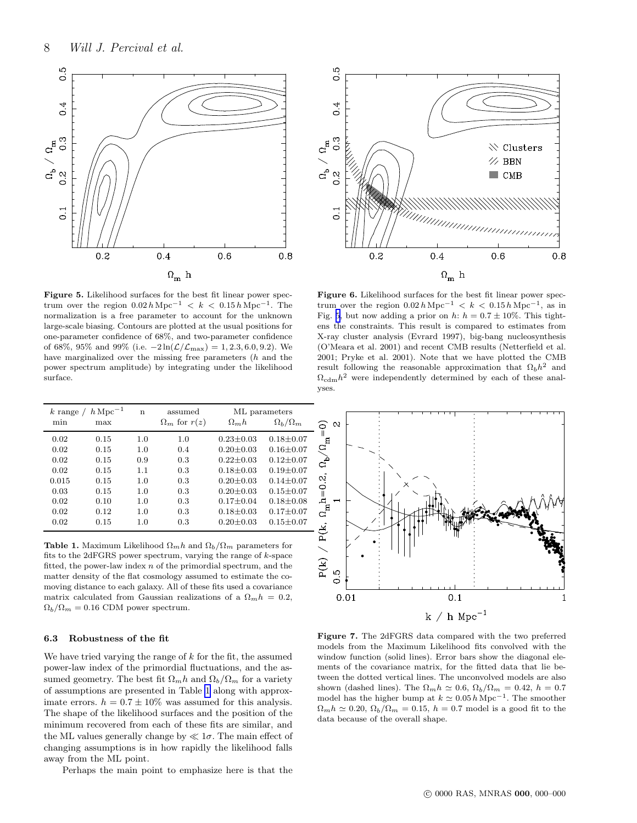<span id="page-7-0"></span>![](_page_7_Figure_1.jpeg)

![](_page_7_Figure_2.jpeg)

Figure 5. Likelihood surfaces for the best fit linear power spectrum over the region  $0.02 h\,\mathrm{Mpc}^{-1} < k < 0.15 h\,\mathrm{Mpc}^{-1}$ . The normalization is a free parameter to account for the unknown large-scale biasing. Contours are plotted at the usual positions for one-parameter confidence of 68%, and two-parameter confidence of 68%, 95% and 99% (i.e.  $-2\ln(\mathcal{L}/\mathcal{L}_{\text{max}}) = 1, 2.3, 6.0, 9.2$ ). We have marginalized over the missing free parameters (h and the power spectrum amplitude) by integrating under the likelihood surface.

| $h\,{\rm Mpc^{-1}}$<br>$k$ range $\ell$ |      | n   | assumed               | ML parameters   |                     |
|-----------------------------------------|------|-----|-----------------------|-----------------|---------------------|
| min                                     | max  |     | $\Omega_m$ for $r(z)$ | $\Omega_m h$    | $\Omega_b/\Omega_m$ |
| 0.02                                    | 0.15 | 1.0 | 1.0                   | $0.23 \pm 0.03$ | $0.18 \pm 0.07$     |
| 0.02                                    | 0.15 | 1.0 | 0.4                   | $0.20 + 0.03$   | $0.16 + 0.07$       |
| 0.02                                    | 0.15 | 0.9 | 0.3                   | $0.22 + 0.03$   | $0.12 + 0.07$       |
| 0.02                                    | 0.15 | 1.1 | 0.3                   | $0.18 + 0.03$   | $0.19 + 0.07$       |
| 0.015                                   | 0.15 | 1.0 | 0.3                   | $0.20 + 0.03$   | $0.14 + 0.07$       |
| 0.03                                    | 0.15 | 1.0 | 0.3                   | $0.20 + 0.03$   | $0.15 + 0.07$       |
| 0.02                                    | 0.10 | 1.0 | 0.3                   | $0.17 + 0.04$   | $0.18 + 0.08$       |
| 0.02                                    | 0.12 | 1.0 | 0.3                   | $0.18 + 0.03$   | $0.17 + 0.07$       |
| 0.02                                    | 0.15 | 1.0 | 0.3                   | $0.20 + 0.03$   | $0.15 + 0.07$       |

**Table 1.** Maximum Likelihood  $\Omega_m h$  and  $\Omega_b/\Omega_m$  parameters for fits to the 2dFGRS power spectrum, varying the range of k-space fitted, the power-law index  $n$  of the primordial spectrum, and the matter density of the flat cosmology assumed to estimate the comoving distance to each galaxy. All of these fits used a covariance matrix calculated from Gaussian realizations of a  $\Omega_m h = 0.2$ ,  $\Omega_b/\Omega_m = 0.16$  CDM power spectrum.

# 6.3 Robustness of the fit

We have tried varying the range of  $k$  for the fit, the assumed power-law index of the primordial fluctuations, and the assumed geometry. The best fit  $\Omega_m h$  and  $\Omega_b/\Omega_m$  for a variety of assumptions are presented in Table 1 along with approximate errors.  $h = 0.7 \pm 10\%$  was assumed for this analysis. The shape of the likelihood surfaces and the position of the minimum recovered from each of these fits are similar, and the ML values generally change by  $\ll 1\sigma$ . The main effect of changing assumptions is in how rapidly the likelihood falls away from the ML point.

Perhaps the main point to emphasize here is that the

Figure 6. Likelihood surfaces for the best fit linear power spectrum over the region  $0.02 h \text{ Mpc}^{-1} < k < 0.15 h \text{ Mpc}^{-1}$ , as in Fig. 5, but now adding a prior on h:  $h = 0.7 \pm 10\%$ . This tightens the constraints. This result is compared to estimates from X-ray cluster analysis (Evrard 1997), big-bang nucleosynthesis (O'Meara et al. 2001) and recent CMB results (Netterfield et al. 2001; Pryke et al. 2001). Note that we have plotted the CMB result following the reasonable approximation that  $\Omega_b h^2$  and  $\Omega_{\text{cdm}}h^2$  were independently determined by each of these analyses.

![](_page_7_Figure_10.jpeg)

Figure 7. The 2dFGRS data compared with the two preferred models from the Maximum Likelihood fits convolved with the window function (solid lines). Error bars show the diagonal elements of the covariance matrix, for the fitted data that lie between the dotted vertical lines. The unconvolved models are also shown (dashed lines). The  $\Omega_m h \simeq 0.6$ ,  $\Omega_b/\Omega_m = 0.42$ ,  $h = 0.7$ model has the higher bump at  $k \simeq 0.05 \, h \, \text{Mpc}^{-1}$ . The smoother  $\Omega_m h \simeq 0.20, \Omega_b / \Omega_m = 0.15, h = 0.7$  model is a good fit to the data because of the overall shape.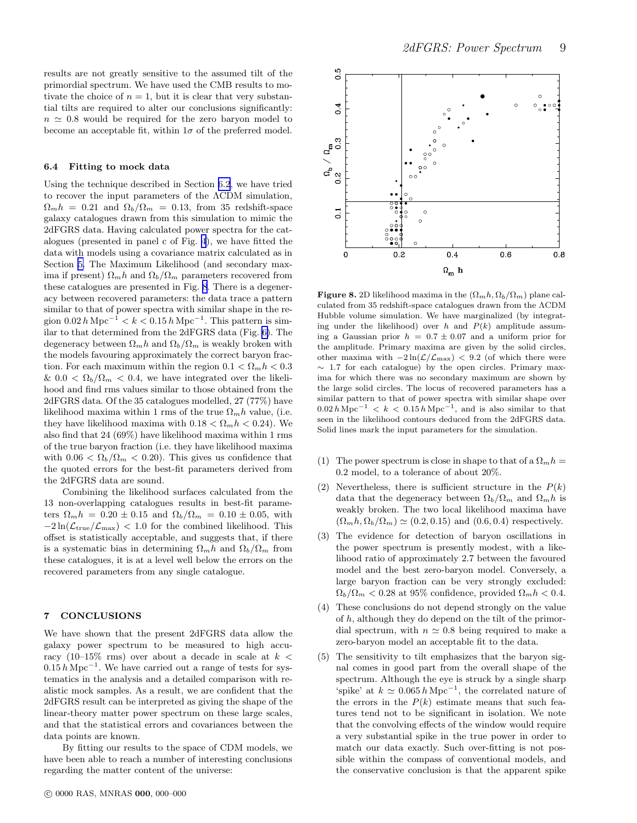<span id="page-8-0"></span>results are not greatly sensitive to the assumed tilt of the primordial spectrum. We have used the CMB results to motivate the choice of  $n = 1$ , but it is clear that very substantial tilts are required to alter our conclusions significantly:  $n \approx 0.8$  would be required for the zero baryon model to become an acceptable fit, within  $1\sigma$  of the preferred model.

#### 6.4 Fitting to mock data

Using the technique described in Section [6.2](#page-6-0), we have tried to recover the input parameters of the ΛCDM simulation,  $\Omega_m h = 0.21$  and  $\Omega_b / \Omega_m = 0.13$ , from 35 redshift-space galaxy catalogues drawn from this simulation to mimic the 2dFGRS data. Having calculated power spectra for the catalogues (presented in panel c of Fig. [4](#page-5-0)), we have fitted the data with models using a covariance matrix calculated as in Section [5.](#page-4-0) The Maximum Likelihood (and secondary maxima if present)  $\Omega_m h$  and  $\Omega_b/\Omega_m$  parameters recovered from these catalogues are presented in Fig. 8. There is a degeneracy between recovered parameters: the data trace a pattern similar to that of power spectra with similar shape in the region  $0.02 h\mathrm{Mpc}^{-1} < k < 0.15 h\mathrm{Mpc}^{-1}$ . This pattern is similar to that determined from the 2dFGRS data (Fig. [6\)](#page-7-0). The degeneracy between  $\Omega_m h$  and  $\Omega_b/\Omega_m$  is weakly broken with the models favouring approximately the correct baryon fraction. For each maximum within the region  $0.1 < \Omega_m h < 0.3$ &  $0.0 < \Omega_b/\Omega_m < 0.4$ , we have integrated over the likelihood and find rms values similar to those obtained from the 2dFGRS data. Of the 35 catalogues modelled, 27 (77%) have likelihood maxima within 1 rms of the true  $\Omega_m h$  value, (i.e. they have likelihood maxima with  $0.18 < \Omega_m h < 0.24$ ). We also find that 24 (69%) have likelihood maxima within 1 rms of the true baryon fraction (i.e. they have likelihood maxima with  $0.06 < \Omega_b/\Omega_m < 0.20$ . This gives us confidence that the quoted errors for the best-fit parameters derived from the 2dFGRS data are sound.

Combining the likelihood surfaces calculated from the 13 non-overlapping catalogues results in best-fit parameters  $\Omega_m h = 0.20 \pm 0.15$  and  $\Omega_b / \Omega_m = 0.10 \pm 0.05$ , with  $-2\ln(\mathcal{L}_{true}/\mathcal{L}_{max})$  < 1.0 for the combined likelihood. This offset is statistically acceptable, and suggests that, if there is a systematic bias in determining  $\Omega_m h$  and  $\Omega_b/\Omega_m$  from these catalogues, it is at a level well below the errors on the recovered parameters from any single catalogue.

# 7 CONCLUSIONS

We have shown that the present 2dFGRS data allow the galaxy power spectrum to be measured to high accuracy (10–15% rms) over about a decade in scale at  $k <$  $0.15 h<sup>-1</sup>$ . We have carried out a range of tests for systematics in the analysis and a detailed comparison with realistic mock samples. As a result, we are confident that the 2dFGRS result can be interpreted as giving the shape of the linear-theory matter power spectrum on these large scales, and that the statistical errors and covariances between the data points are known.

By fitting our results to the space of CDM models, we have been able to reach a number of interesting conclusions regarding the matter content of the universe:

![](_page_8_Figure_8.jpeg)

**Figure 8.** 2D likelihood maxima in the  $(\Omega_m h, \Omega_b/\Omega_m)$  plane calculated from 35 redshift-space catalogues drawn from the ΛCDM Hubble volume simulation. We have marginalized (by integrating under the likelihood) over h and  $P(k)$  amplitude assuming a Gaussian prior  $h = 0.7 \pm 0.07$  and a uniform prior for the amplitude. Primary maxima are given by the solid circles, other maxima with  $-2\ln(\mathcal{L}/\mathcal{L}_{\rm max})$  < 9.2 (of which there were  $\sim$  1.7 for each catalogue) by the open circles. Primary maxima for which there was no secondary maximum are shown by the large solid circles. The locus of recovered parameters has a similar pattern to that of power spectra with similar shape over  $0.02 h\,\mathrm{Mpc}^{-1} < k < 0.15 h\,\mathrm{Mpc}^{-1}$ , and is also similar to that seen in the likelihood contours deduced from the 2dFGRS data. Solid lines mark the input parameters for the simulation.

- (1) The power spectrum is close in shape to that of a  $\Omega_m h =$ 0.2 model, to a tolerance of about 20%.
- (2) Nevertheless, there is sufficient structure in the  $P(k)$ data that the degeneracy between  $\Omega_b/\Omega_m$  and  $\Omega_m h$  is weakly broken. The two local likelihood maxima have  $(\Omega_m h, \Omega_b / \Omega_m) \simeq (0.2, 0.15)$  and  $(0.6, 0.4)$  respectively.
- (3) The evidence for detection of baryon oscillations in the power spectrum is presently modest, with a likelihood ratio of approximately 2.7 between the favoured model and the best zero-baryon model. Conversely, a large baryon fraction can be very strongly excluded:  $\Omega_b/\Omega_m < 0.28$  at 95% confidence, provided  $\Omega_m h < 0.4$ .
- (4) These conclusions do not depend strongly on the value of h, although they do depend on the tilt of the primordial spectrum, with  $n \approx 0.8$  being required to make a zero-baryon model an acceptable fit to the data.
- (5) The sensitivity to tilt emphasizes that the baryon signal comes in good part from the overall shape of the spectrum. Although the eye is struck by a single sharp 'spike' at  $k \approx 0.065 h \text{ Mpc}^{-1}$ , the correlated nature of the errors in the  $P(k)$  estimate means that such features tend not to be significant in isolation. We note that the convolving effects of the window would require a very substantial spike in the true power in order to match our data exactly. Such over-fitting is not possible within the compass of conventional models, and the conservative conclusion is that the apparent spike